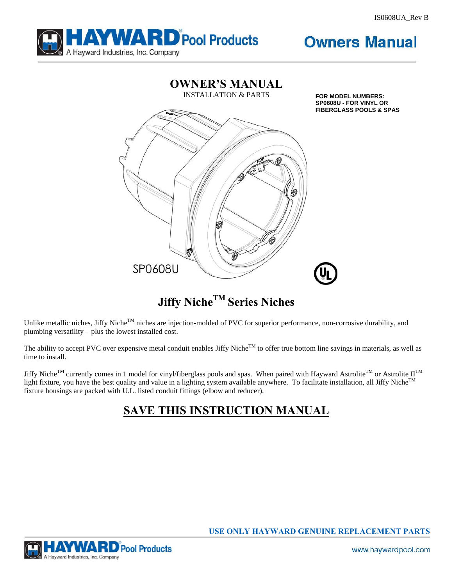





# **Jiffy NicheTM Series Niches**

Unlike metallic niches, Jiffy Niche<sup>TM</sup> niches are injection-molded of PVC for superior performance, non-corrosive durability, and plumbing versatility – plus the lowest installed cost.

The ability to accept PVC over expensive metal conduit enables Jiffy Niche<sup>TM</sup> to offer true bottom line savings in materials, as well as time to install.

Jiffy Niche<sup>TM</sup> currently comes in 1 model for vinyl/fiberglass pools and spas. When paired with Hayward Astrolite<sup>TM</sup> or Astrolite II<sup>TM</sup> light fixture, you have the best quality and value in a lighting system available anywhere. To facilitate installation, all Jiffy Niche<sup>TM</sup> fixture housings are packed with U.L. listed conduit fittings (elbow and reducer).

# **SAVE THIS INSTRUCTION MANUAL**



**USE ONLY HAYWARD GENUINE REPLACEMENT PARTS**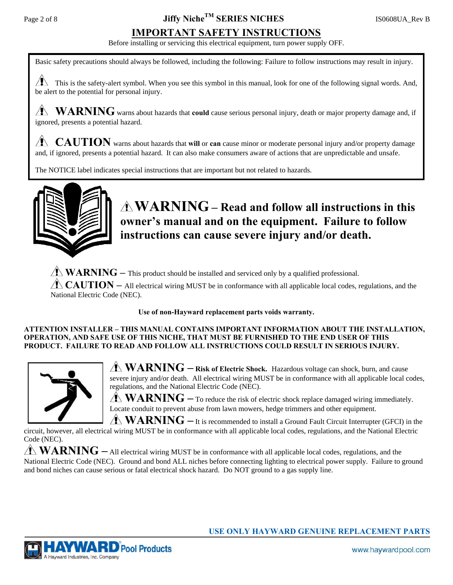## Page 2 of 8 **Jiffy Niche<sup>TM</sup> SERIES NICHES ISO608UA\_Rev B**

# **IMPORTANT SAFETY INSTRUCTIONS**

Before installing or servicing this electrical equipment, turn power supply OFF.

Basic safety precautions should always be followed, including the following: Failure to follow instructions may result in injury.

This is the safety-alert symbol. When you see this symbol in this manual, look for one of the following signal words. And, be alert to the potential for personal injury.

**WARNING** warns about hazards that **could** cause serious personal injury, death or major property damage and, if ignored, presents a potential hazard.

**CAUTION** warns about hazards that **will** or **can** cause minor or moderate personal injury and/or property damage and, if ignored, presents a potential hazard. It can also make consumers aware of actions that are unpredictable and unsafe.

The NOTICE label indicates special instructions that are important but not related to hazards.



**WARNING– Read and follow all instructions in this owner's manual and on the equipment. Failure to follow instructions can cause severe injury and/or death.** 

**WARNING** – This product should be installed and serviced only by a qualified professional. **CAUTION** – All electrical wiring MUST be in conformance with all applicable local codes, regulations, and the National Electric Code (NEC).

#### **Use of non-Hayward replacement parts voids warranty.**

**ATTENTION INSTALLER – THIS MANUAL CONTAINS IMPORTANT INFORMATION ABOUT THE INSTALLATION, OPERATION, AND SAFE USE OF THIS NICHE, THAT MUST BE FURNISHED TO THE END USER OF THIS PRODUCT. FAILURE TO READ AND FOLLOW ALL INSTRUCTIONS COULD RESULT IN SERIOUS INJURY.** 



**WARNING** – Risk of Electric Shock. Hazardous voltage can shock, burn, and cause severe injury and/or death. All electrical wiring MUST be in conformance with all applicable local codes, regulations, and the National Electric Code (NEC).

 $\triangle$  **WARNING** – To reduce the risk of electric shock replace damaged wiring immediately. Locate conduit to prevent abuse from lawn mowers, hedge trimmers and other equipment.

**WARNING –** It is recommended to install a Ground Fault Circuit Interrupter (GFCI) in the circuit, however, all electrical wiring MUST be in conformance with all applicable local codes, regulations, and the National Electric Code (NEC).

**WARNING** – All electrical wiring MUST be in conformance with all applicable local codes, regulations, and the National Electric Code (NEC). Ground and bond ALL niches before connecting lighting to electrical power supply. Failure to ground and bond niches can cause serious or fatal electrical shock hazard. Do NOT ground to a gas supply line.



**USE ONLY HAYWARD GENUINE REPLACEMENT PARTS**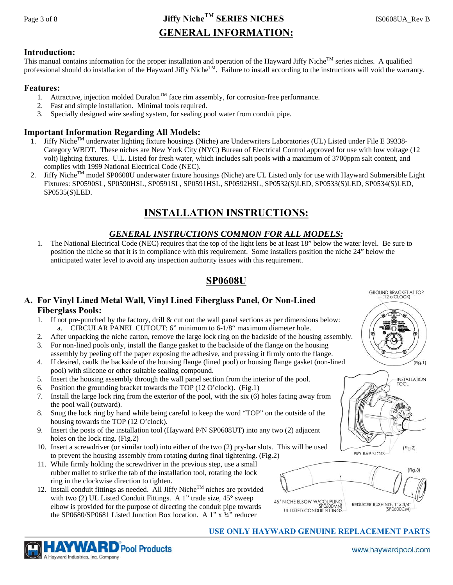# Page 3 of 8 **Jiffy Niche<sup>TM</sup> SERIES NICHES** IS0608UA Rev B **GENERAL INFORMATION:**

#### **Introduction:**

This manual contains information for the proper installation and operation of the Hayward Jiffy Niche<sup>TM</sup> series niches. A qualified professional should do installation of the Hayward Jiffy Niche<sup>TM</sup>. Failure to install according to the instructions will void the warranty.

#### **Features:**

- 1. Attractive, injection molded Duralon<sup>TM</sup> face rim assembly, for corrosion-free performance.
- 2. Fast and simple installation. Minimal tools required.
- 3. Specially designed wire sealing system, for sealing pool water from conduit pipe.

#### **Important Information Regarding All Models:**

- 1. Jiffy Niche<sup>TM</sup> underwater lighting fixture housings (Niche) are Underwriters Laboratories (UL) Listed under File E 39338-Category WBDT. These niches are New York City (NYC) Bureau of Electrical Control approved for use with low voltage (12 volt) lighting fixtures. U.L. Listed for fresh water, which includes salt pools with a maximum of 3700ppm salt content, and complies with 1999 National Electrical Code (NEC).
- 2. Jiffy Niche<sup>TM</sup> model SP0608U underwater fixture housings (Niche) are UL Listed only for use with Hayward Submersible Light Fixtures: SP0590SL, SP0590HSL, SP0591SL, SP0591HSL, SP0592HSL, SP0532(S)LED, SP0533(S)LED, SP0534(S)LED, SP0535(S)LED.

## **INSTALLATION INSTRUCTIONS:**

#### *GENERAL INSTRUCTIONS COMMON FOR ALL MODELS:*

1. The National Electrical Code (NEC) requires that the top of the light lens be at least 18" below the water level. Be sure to position the niche so that it is in compliance with this requirement. Some installers position the niche 24" below the anticipated water level to avoid any inspection authority issues with this requirement.

## **SP0608U**

## **A. For Vinyl Lined Metal Wall, Vinyl Lined Fiberglass Panel, Or Non-Lined Fiberglass Pools:**

- 1. If not pre-punched by the factory, drill & cut out the wall panel sections as per dimensions below: a. CIRCULAR PANEL CUTOUT: 6" minimum to 6-1/8" maximum diameter hole.
- 2. After unpacking the niche carton, remove the large lock ring on the backside of the housing assembly.
- 3. For non-lined pools only, install the flange gasket to the backside of the flange on the housing assembly by peeling off the paper exposing the adhesive, and pressing it firmly onto the flange.
- 4. If desired, caulk the backside of the housing flange (lined pool) or housing flange gasket (non-lined pool) with silicone or other suitable sealing compound.
- 5. Insert the housing assembly through the wall panel section from the interior of the pool.
- 6. Position the grounding bracket towards the TOP  $(12 \text{ O'clock})$ . (Fig.1)
- 7. Install the large lock ring from the exterior of the pool, with the six (6) holes facing away from the pool wall (outward).
- 8. Snug the lock ring by hand while being careful to keep the word "TOP" on the outside of the housing towards the TOP (12 O'clock).
- 9. Insert the posts of the installation tool (Hayward P/N SP0608UT) into any two (2) adjacent holes on the lock ring. (Fig.2)
- 10. Insert a screwdriver (or similar tool) into either of the two (2) pry-bar slots. This will be used to prevent the housing assembly from rotating during final tightening. (Fig.2)
- 11. While firmly holding the screwdriver in the previous step, use a small rubber mallet to strike the tab of the installation tool, rotating the lock ring in the clockwise direction to tighten.
- 12. Install conduit fittings as needed. All Jiffy Niche<sup>TM</sup> niches are provided with two (2) UL Listed Conduit Fittings. A 1" trade size, 45° sweep elbow is provided for the purpose of directing the conduit pipe towards the SP0680/SP0681 Listed Junction Box location. A 1" x ¾" reducer



PRY BAR SLOTS

**USE ONLY HAYWARD GENUINE REPLACEMENT PARTS** 







 $(Fig.2)$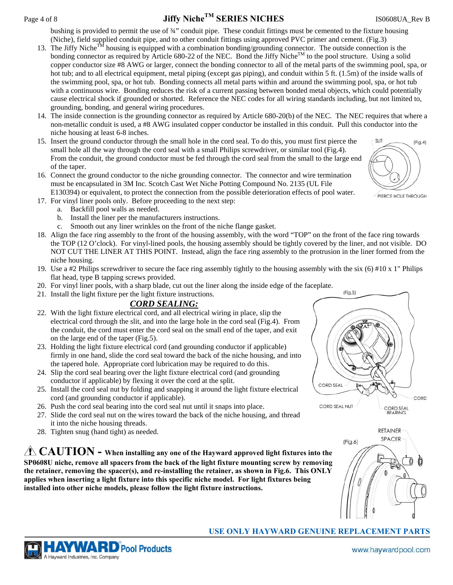bushing is provided to permit the use of 34" conduit pipe. These conduit fittings must be cemented to the fixture housing (Niche), field supplied conduit pipe, and to other conduit fittings using approved PVC primer and cement. (Fig.3)

- 13. The Jiffy Niche<sup>TM</sup> housing is equipped with a combination bonding/grounding connector. The outside connection is the bonding connector as required by Article 680-22 of the NEC. Bond the Jiffy Niche<sup>TM</sup> to the pool structure. Using a solid copper conductor size #8 AWG or larger, connect the bonding connector to all of the metal parts of the swimming pool, spa, or hot tub; and to all electrical equipment, metal piping (except gas piping), and conduit within 5 ft. (1.5m) of the inside walls of the swimming pool, spa, or hot tub. Bonding connects all metal parts within and around the swimming pool, spa, or hot tub with a continuous wire. Bonding reduces the risk of a current passing between bonded metal objects, which could potentially cause electrical shock if grounded or shorted. Reference the NEC codes for all wiring standards including, but not limited to, grounding, bonding, and general wiring procedures.
- 14. The inside connection is the grounding connector as required by Article 680-20(b) of the NEC. The NEC requires that where a non-metallic conduit is used, a #8 AWG insulated copper conductor be installed in this conduit. Pull this conductor into the niche housing at least 6-8 inches.
- 15. Insert the ground conductor through the small hole in the cord seal. To do this, you must first pierce the small hole all the way through the cord seal with a small Philips screwdriver, or similar tool (Fig.4). From the conduit, the ground conductor must be fed through the cord seal from the small to the large end of the taper.
- 16. Connect the ground conductor to the niche grounding connector. The connector and wire termination must be encapsulated in 3M Inc. Scotch Cast Wet Niche Potting Compound No. 2135 (UL File E130394) or equivalent, to protect the connection from the possible deterioration effects of pool water.
- 17. For vinyl liner pools only. Before proceeding to the next step:
	- a. Backfill pool walls as needed.
	- b. Install the liner per the manufacturers instructions.
	- c. Smooth out any liner wrinkles on the front of the niche flange gasket.
- 18. Align the face ring assembly to the front of the housing assembly, with the word "TOP" on the front of the face ring towards the TOP (12 O'clock). For vinyl-lined pools, the housing assembly should be tightly covered by the liner, and not visible. DO NOT CUT THE LINER AT THIS POINT. Instead, align the face ring assembly to the protrusion in the liner formed from the niche housing.
- 19. Use a #2 Philips screwdriver to secure the face ring assembly tightly to the housing assembly with the six  $(6)$  #10 x 1" Philips flat head, type B tapping screws provided.
- 20. For vinyl liner pools, with a sharp blade, cut out the liner along the inside edge of the faceplate.
- 21. Install the light fixture per the light fixture instructions.

## *CORD SEALING:*

- 22. With the light fixture electrical cord, and all electrical wiring in place, slip the electrical cord through the slit, and into the large hole in the cord seal (Fig.4). From the conduit, the cord must enter the cord seal on the small end of the taper, and exit on the large end of the taper (Fig.5).
- 23. Holding the light fixture electrical cord (and grounding conductor if applicable) firmly in one hand, slide the cord seal toward the back of the niche housing, and into the tapered hole. Appropriate cord lubrication may be required to do this.
- 24. Slip the cord seal bearing over the light fixture electrical cord (and grounding conductor if applicable) by flexing it over the cord at the split.
- 25. Install the cord seal nut by folding and snapping it around the light fixture electrical cord (and grounding conductor if applicable).
- 26. Push the cord seal bearing into the cord seal nut until it snaps into place.
- 27. Slide the cord seal nut on the wires toward the back of the niche housing, and thread it into the niche housing threads.
- 28. Tighten snug (hand tight) as needed.

 $\triangle$   $\mathbf{CAUTION}$  - When installing any one of the Hayward approved light fixtures into the **SP0608U niche, remove all spacers from the back of the light fixture mounting screw by removing the retainer, removing the spacer(s), and re-installing the retainer, as shown in Fig.6. This ONLY applies when inserting a light fixture into this specific niche model. For light fixtures being installed into other niche models, please follow the light fixture instructions.** 







**BEARING** 

#### **USE ONLY HAYWARD GENUINE REPLACEMENT PARTS**



www.havwardpool.com



PIERCE HOLE THROUGH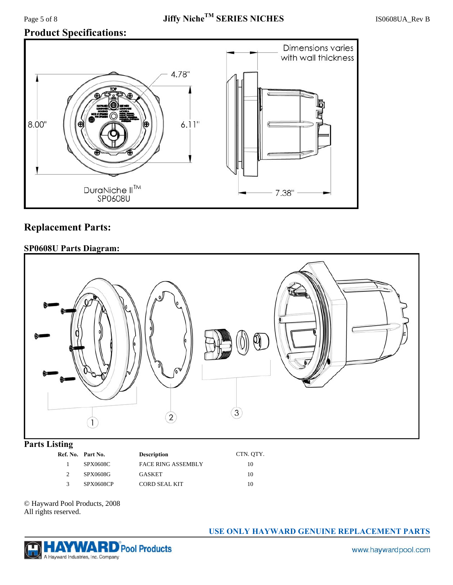# **Product Specifications:**



## **Replacement Parts:**

#### **SP0608U Parts Diagram:**



| Ref. No. Part No. | <b>Description</b>        | CTN. OTY. |
|-------------------|---------------------------|-----------|
| SPX0608C          | <b>FACE RING ASSEMBLY</b> | 10        |
| <b>SPX0608G</b>   | <b>GASKET</b>             | 10        |
| <b>SPX0608CP</b>  | <b>CORD SEAL KIT</b>      | 10        |

© Hayward Pool Products, 2008 All rights reserved.



**USE ONLY HAYWARD GENUINE REPLACEMENT PARTS**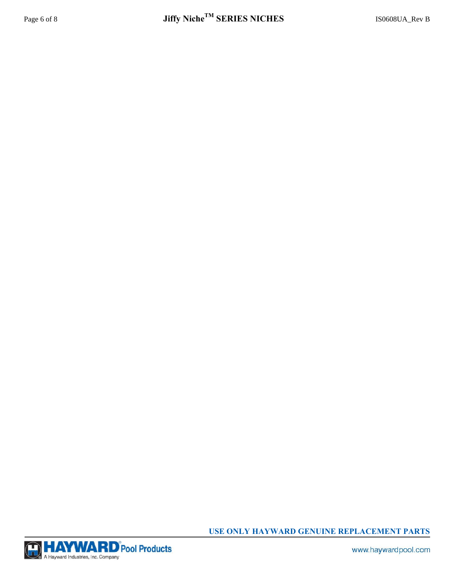**USE ONLY HAYWARD GENUINE REPLACEMENT PARTS** 



www.haywardpool.com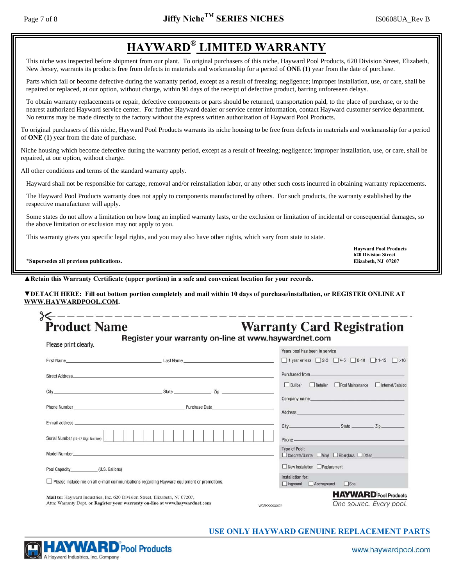**Hayward Pool Products 620 Division Street** 

# **HAYWARD® LIMITED WARRANTY**

This niche was inspected before shipment from our plant. To original purchasers of this niche, Hayward Pool Products, 620 Division Street, Elizabeth, New Jersey, warrants its products free from defects in materials and workmanship for a period of **ONE (1)** year from the date of purchase.

Parts which fail or become defective during the warranty period, except as a result of freezing; negligence; improper installation, use, or care, shall be repaired or replaced, at our option, without charge, within 90 days of the receipt of defective product, barring unforeseen delays.

To obtain warranty replacements or repair, defective components or parts should be returned, transportation paid, to the place of purchase, or to the nearest authorized Hayward service center. For further Hayward dealer or service center information, contact Hayward customer service department. No returns may be made directly to the factory without the express written authorization of Hayward Pool Products.

To original purchasers of this niche, Hayward Pool Products warrants its niche housing to be free from defects in materials and workmanship for a period of **ONE (1)** year from the date of purchase.

Niche housing which become defective during the warranty period, except as a result of freezing; negligence; improper installation, use, or care, shall be repaired, at our option, without charge.

All other conditions and terms of the standard warranty apply.

Hayward shall not be responsible for cartage, removal and/or reinstallation labor, or any other such costs incurred in obtaining warranty replacements.

The Hayward Pool Products warranty does not apply to components manufactured by others. For such products, the warranty established by the respective manufacturer will apply.

Some states do not allow a limitation on how long an implied warranty lasts, or the exclusion or limitation of incidental or consequential damages, so the above limitation or exclusion may not apply to you.

This warranty gives you specific legal rights, and you may also have other rights, which vary from state to state.

**\*Supersedes all previous publications. Elizabeth, NJ 07207**

 $\sim$ 

**▲Retain this Warranty Certificate (upper portion) in a safe and convenient location for your records.**

**▼DETACH HERE: Fill out bottom portion completely and mail within 10 days of purchase/installation, or REGISTER ONLINE AT WWW.HAYWARDPOOL.COM.** 

| Register your warranty on-line at www.haywardnet.com<br>Please print clearly.                                                                                                                                                 |                                                                                                                                                                                                                                      |
|-------------------------------------------------------------------------------------------------------------------------------------------------------------------------------------------------------------------------------|--------------------------------------------------------------------------------------------------------------------------------------------------------------------------------------------------------------------------------------|
| First Name                                                                                                                                                                                                                    | Years pool has been in service<br>1 year or less 2-3 4-5 6-10 11-15 >16                                                                                                                                                              |
|                                                                                                                                                                                                                               | Purchased from the contract of the contract of the contract of the contract of the contract of the contract of the contract of the contract of the contract of the contract of the contract of the contract of the contract of       |
|                                                                                                                                                                                                                               | Builder Retailer Pool Maintenance<br>Internet/Catalog<br>Company name                                                                                                                                                                |
|                                                                                                                                                                                                                               | Address <b>contract the contract of the contract of the contract of the contract of the contract of the contract of the contract of the contract of the contract of the contract of the contract of the contract of the contract</b> |
|                                                                                                                                                                                                                               |                                                                                                                                                                                                                                      |
| Serial Number (10-17 Digit Number)                                                                                                                                                                                            |                                                                                                                                                                                                                                      |
| Model Number and the contract of the contract of the contract of the contract of the contract of the contract of the contract of the contract of the contract of the contract of the contract of the contract of the contract | Type of Pool:<br>□ Concrete/Gunite ■ Vinvi ■ Fiberglass ■ Other                                                                                                                                                                      |
| Pool Capacity _______________(U.S. Gallons)                                                                                                                                                                                   | $\Box$ New Installation $\Box$ Replacement                                                                                                                                                                                           |
| Please include me on all e-mail communications regarding Hayward equipment or promotions.                                                                                                                                     | Installation for:<br>nground Aboveground Spa                                                                                                                                                                                         |
| Mail to: Hayward Industries, Inc. 620 Division Street, Elizabeth, NJ 07207.<br>Attn: Warranty Dept. or Register your warranty on-line at www.haywardnet.com                                                                   | <b>HAYWARD</b> Pool Products<br>One source. Every pool.<br>WCRXXXXXXXXX07                                                                                                                                                            |

#### **USE ONLY HAYWARD GENUINE REPLACEMENT PARTS**



www.havwardpool.com